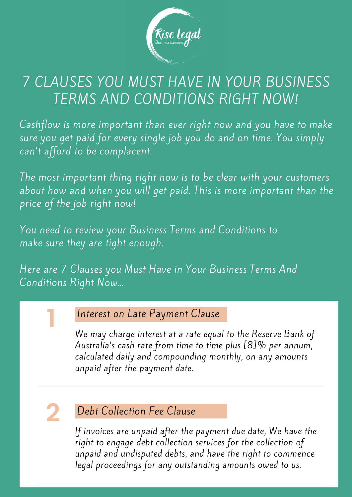

### 7 CLAUSES YOU MUST HAVE IN YOUR BUSINESS TERMS AND CONDITIONS RIGHT NOW!

Cashflow is more important than ever right now and you have to make sure you get paid for every single job you do and on time. You simply can 't afford to be complacent.

The most important thing right now is to be clear with your customers about how and when you will get paid. This is more important than the price of the job right now!

You need to review your Business Terms and Conditions to make sure they are tight enough.

Here are 7 Clauses you Must Have in Your Business Terms And Conditions Right Now…

### Interest on Late Payment Clause

We may charge interest at a rate equal to the Reserve Bank of Australia's cash rate from time to time plus [8]% per annum, calculated daily and compounding monthly, on any amounts unpaid after the payment date.

# **2**

**1**

### Debt Collection Fee Clause

If invoices are unpaid after the payment due date, We have the right to engage debt collection services for the collection of unpaid and undisputed debts, and have the right to commence legal proceedings for any outstanding amounts owed to us.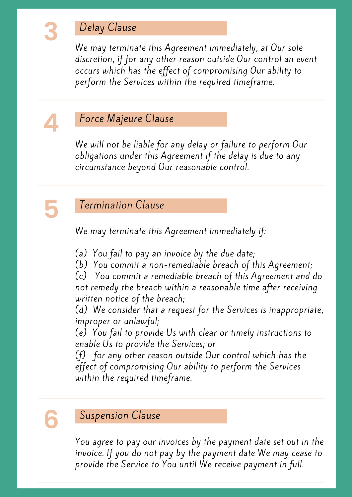### Delay Clause

We may terminate this Agreement immediately, at Our sole discretion, if for any other reason outside Our control an event occurs which has the effect of compromising Our ability to perform the Services within the required timeframe.

# **4**

**3**

### Force Majeure Clause

We will not be liable for any delay or failure to perform Our obligations under this Agreement if the delay is due to any circumstance beyond Our reasonable control.



### Termination Clause

We may terminate this Agreement immediately if:

- (a) You fail to pay an invoice by the due date;
- (b) You commit a non-remediable breach of this Agreement;

(c) You commit a remediable breach of this Agreement and do not remedy the breach within a reasonable time after receiving written notice of the breach;

(d) We consider that a request for the Services is inappropriate, improper or unlawful;

(e) You fail to provide Us with clear or timely instructions to enable Us to provide the Services; or

(f) for any other reason outside Our control which has the effect of compromising Our ability to perform the Services within the required timeframe.

**6**

#### Suspension Clause

You agree to pay our invoices by the payment date set out in the invoice. If you do not pay by the payment date We may cease to provide the Service to You until We receive payment in full.